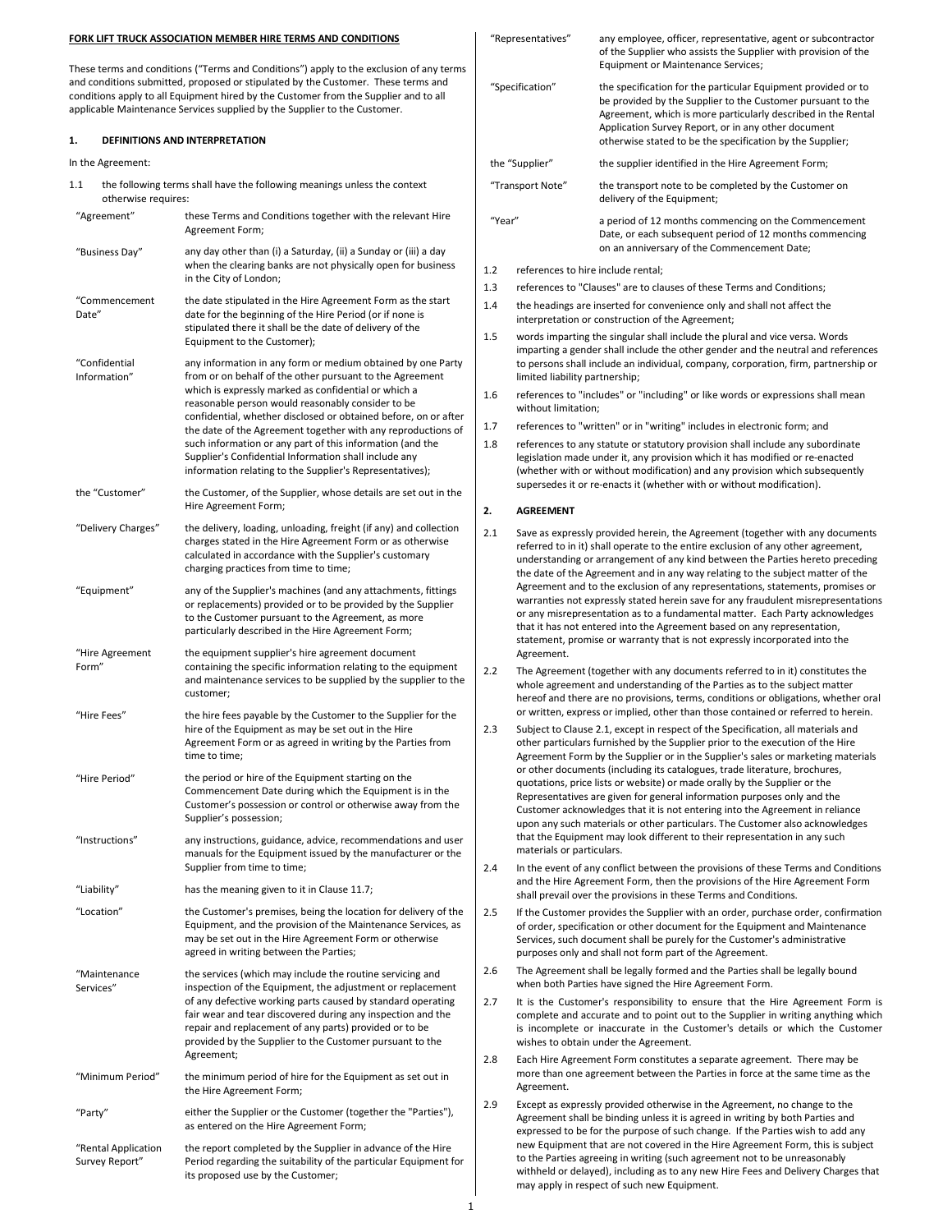### FORK LIFT TRUCK ASSOCIATION MEMBER HIRE TERMS AND CONDITIONS

These terms and conditions ("Terms and Conditions") apply to the exclusion of any and conditions submitted, proposed or stipulated by the Customer. These terms and conditions apply to all Equipment hired by the Customer from the Supplier and to applicable Maintenance Services supplied by the Supplier to the Customer.

# 1. DEFINITIONS AND INTERPRETATION

In the Agreement:

1.1 the following terms shall have the following meanings unless the context otherwise requires:

| otherwise requires:           |                                                                                                                                                                                                                                                                                                                                                                                                                                                                                                                                                           |  |  |
|-------------------------------|-----------------------------------------------------------------------------------------------------------------------------------------------------------------------------------------------------------------------------------------------------------------------------------------------------------------------------------------------------------------------------------------------------------------------------------------------------------------------------------------------------------------------------------------------------------|--|--|
| "Agreement"                   | these Terms and Conditions together with the relevant Hire<br>Agreement Form;                                                                                                                                                                                                                                                                                                                                                                                                                                                                             |  |  |
| "Business Day"                | any day other than (i) a Saturday, (ii) a Sunday or (iii) a day<br>when the clearing banks are not physically open for business<br>in the City of London;                                                                                                                                                                                                                                                                                                                                                                                                 |  |  |
| "Commencement<br>Date"        | the date stipulated in the Hire Agreement Form as the start<br>date for the beginning of the Hire Period (or if none is<br>stipulated there it shall be the date of delivery of the<br>Equipment to the Customer);                                                                                                                                                                                                                                                                                                                                        |  |  |
| "Confidential<br>Information" | any information in any form or medium obtained by one Party<br>from or on behalf of the other pursuant to the Agreement<br>which is expressly marked as confidential or which a<br>reasonable person would reasonably consider to be<br>confidential, whether disclosed or obtained before, on or after<br>the date of the Agreement together with any reproductions of<br>such information or any part of this information (and the<br>Supplier's Confidential Information shall include any<br>information relating to the Supplier's Representatives); |  |  |
| the "Customer"                | the Customer, of the Supplier, whose details are set out in the<br>Hire Agreement Form;                                                                                                                                                                                                                                                                                                                                                                                                                                                                   |  |  |
| "Delivery Charges"            | the delivery, loading, unloading, freight (if any) and collection<br>charges stated in the Hire Agreement Form or as otherwise<br>calculated in accordance with the Supplier's customary<br>charging practices from time to time;                                                                                                                                                                                                                                                                                                                         |  |  |
| "Equipment"                   | any of the Supplier's machines (and any attachments, fittings<br>or replacements) provided or to be provided by the Supplier<br>to the Customer pursuant to the Agreement, as more<br>particularly described in the Hire Agreement Form;                                                                                                                                                                                                                                                                                                                  |  |  |
| "Hire Agreement<br>Form"      | the equipment supplier's hire agreement document<br>containing the specific information relating to the equipment<br>and maintenance services to be supplied by the supplier to the<br>customer;                                                                                                                                                                                                                                                                                                                                                          |  |  |
| "Hire Fees"                   | the hire fees payable by the Customer to the Supplier for the<br>hire of the Equipment as may be set out in the Hire<br>Agreement Form or as agreed in writing by the Parties from<br>time to time;                                                                                                                                                                                                                                                                                                                                                       |  |  |
| "Hire Period"                 | the period or hire of the Equipment starting on the<br>Commencement Date during which the Equipment is in the<br>Customer's possession or control or otherwise away from the<br>Supplier's possession;                                                                                                                                                                                                                                                                                                                                                    |  |  |
| "Instructions"                | any instructions, guidance, advice, recommendations and user<br>manuals for the Equipment issued by the manufacturer or the<br>Supplier from time to time;                                                                                                                                                                                                                                                                                                                                                                                                |  |  |
| "Liability"                   | has the meaning given to it in Clause 11.7;                                                                                                                                                                                                                                                                                                                                                                                                                                                                                                               |  |  |
| "Location"                    | the Customer's premises, being the location for delivery of the<br>Equipment, and the provision of the Maintenance Services, as<br>may be set out in the Hire Agreement Form or otherwise<br>agreed in writing between the Parties;                                                                                                                                                                                                                                                                                                                       |  |  |
| "Maintenance<br>Services"     | the services (which may include the routine servicing and<br>inspection of the Equipment, the adjustment or replacement<br>of any defective working parts caused by standard operating<br>fair wear and tear discovered during any inspection and the<br>repair and replacement of any parts) provided or to be<br>provided by the Supplier to the Customer pursuant to the                                                                                                                                                                               |  |  |

Agreement; "Minimum Period" the minimum period of hire for the Equipment as set out the Hire Agreement Form;

"Party" either the Supplier or the Customer (together the "Partie as entered on the Hire Agreement Form;

"Rental Application Survey Report" the report completed by the Supplier in advance of the Hire Period regarding the suitability of the particular Equipment for its proposed use by the Customer;

| / terms                 | "Representatives"                                |                                                                                                                                                                                                                                                                                                                        | any employee, officer, representative, agent or subcontractor<br>of the Supplier who assists the Supplier with provision of the<br><b>Equipment or Maintenance Services;</b>                                                                                                                                                                                                                                                                                                                                                                                                                                                                                 |  |
|-------------------------|--------------------------------------------------|------------------------------------------------------------------------------------------------------------------------------------------------------------------------------------------------------------------------------------------------------------------------------------------------------------------------|--------------------------------------------------------------------------------------------------------------------------------------------------------------------------------------------------------------------------------------------------------------------------------------------------------------------------------------------------------------------------------------------------------------------------------------------------------------------------------------------------------------------------------------------------------------------------------------------------------------------------------------------------------------|--|
| ınd<br>all              |                                                  | "Specification"                                                                                                                                                                                                                                                                                                        | the specification for the particular Equipment provided or to<br>be provided by the Supplier to the Customer pursuant to the<br>Agreement, which is more particularly described in the Rental<br>Application Survey Report, or in any other document<br>otherwise stated to be the specification by the Supplier;                                                                                                                                                                                                                                                                                                                                            |  |
|                         | the "Supplier"                                   |                                                                                                                                                                                                                                                                                                                        | the supplier identified in the Hire Agreement Form;                                                                                                                                                                                                                                                                                                                                                                                                                                                                                                                                                                                                          |  |
|                         | "Transport Note"                                 |                                                                                                                                                                                                                                                                                                                        | the transport note to be completed by the Customer on<br>delivery of the Equipment;                                                                                                                                                                                                                                                                                                                                                                                                                                                                                                                                                                          |  |
| lire<br>ау              | "Year"                                           |                                                                                                                                                                                                                                                                                                                        | a period of 12 months commencing on the Commencement<br>Date, or each subsequent period of 12 months commencing<br>on an anniversary of the Commencement Date;                                                                                                                                                                                                                                                                                                                                                                                                                                                                                               |  |
| ness                    | 1.2                                              | references to hire include rental;                                                                                                                                                                                                                                                                                     |                                                                                                                                                                                                                                                                                                                                                                                                                                                                                                                                                                                                                                                              |  |
|                         | 1.3                                              |                                                                                                                                                                                                                                                                                                                        | references to "Clauses" are to clauses of these Terms and Conditions;                                                                                                                                                                                                                                                                                                                                                                                                                                                                                                                                                                                        |  |
| :art                    | 1.4                                              |                                                                                                                                                                                                                                                                                                                        | the headings are inserted for convenience only and shall not affect the                                                                                                                                                                                                                                                                                                                                                                                                                                                                                                                                                                                      |  |
|                         | interpretation or construction of the Agreement; |                                                                                                                                                                                                                                                                                                                        |                                                                                                                                                                                                                                                                                                                                                                                                                                                                                                                                                                                                                                                              |  |
| : Party<br>nt           | 1.5                                              | limited liability partnership;                                                                                                                                                                                                                                                                                         | words imparting the singular shall include the plural and vice versa. Words<br>imparting a gender shall include the other gender and the neutral and references<br>to persons shall include an individual, company, corporation, firm, partnership or                                                                                                                                                                                                                                                                                                                                                                                                        |  |
| r after                 | 1.6                                              | without limitation;                                                                                                                                                                                                                                                                                                    | references to "includes" or "including" or like words or expressions shall mean                                                                                                                                                                                                                                                                                                                                                                                                                                                                                                                                                                              |  |
| ons of                  | 1.7                                              |                                                                                                                                                                                                                                                                                                                        | references to "written" or in "writing" includes in electronic form; and                                                                                                                                                                                                                                                                                                                                                                                                                                                                                                                                                                                     |  |
| è<br>in the             | 1.8                                              | references to any statute or statutory provision shall include any subordinate<br>legislation made under it, any provision which it has modified or re-enacted<br>(whether with or without modification) and any provision which subsequently<br>supersedes it or re-enacts it (whether with or without modification). |                                                                                                                                                                                                                                                                                                                                                                                                                                                                                                                                                                                                                                                              |  |
|                         | 2.                                               | <b>AGREEMENT</b>                                                                                                                                                                                                                                                                                                       |                                                                                                                                                                                                                                                                                                                                                                                                                                                                                                                                                                                                                                                              |  |
| ction<br>ise            | 2.1                                              |                                                                                                                                                                                                                                                                                                                        | Save as expressly provided herein, the Agreement (together with any documents<br>referred to in it) shall operate to the entire exclusion of any other agreement,<br>understanding or arrangement of any kind between the Parties hereto preceding<br>the date of the Agreement and in any way relating to the subject matter of the                                                                                                                                                                                                                                                                                                                         |  |
| tings<br>olier          |                                                  | Agreement.                                                                                                                                                                                                                                                                                                             | Agreement and to the exclusion of any representations, statements, promises or<br>warranties not expressly stated herein save for any fraudulent misrepresentations<br>or any misrepresentation as to a fundamental matter. Each Party acknowledges<br>that it has not entered into the Agreement based on any representation,<br>statement, promise or warranty that is not expressly incorporated into the                                                                                                                                                                                                                                                 |  |
| ment<br>to the<br>r the | 2.2                                              |                                                                                                                                                                                                                                                                                                                        | The Agreement (together with any documents referred to in it) constitutes the<br>whole agreement and understanding of the Parties as to the subject matter<br>hereof and there are no provisions, terms, conditions or obligations, whether oral<br>or written, express or implied, other than those contained or referred to herein.                                                                                                                                                                                                                                                                                                                        |  |
| om.<br>the<br>n the     | 2.3                                              |                                                                                                                                                                                                                                                                                                                        | Subject to Clause 2.1, except in respect of the Specification, all materials and<br>other particulars furnished by the Supplier prior to the execution of the Hire<br>Agreement Form by the Supplier or in the Supplier's sales or marketing materials<br>or other documents (including its catalogues, trade literature, brochures,<br>quotations, price lists or website) or made orally by the Supplier or the<br>Representatives are given for general information purposes only and the<br>Customer acknowledges that it is not entering into the Agreement in reliance<br>upon any such materials or other particulars. The Customer also acknowledges |  |
| d user<br>or the        | 2.4                                              | materials or particulars.                                                                                                                                                                                                                                                                                              | that the Equipment may look different to their representation in any such<br>In the event of any conflict between the provisions of these Terms and Conditions                                                                                                                                                                                                                                                                                                                                                                                                                                                                                               |  |
|                         |                                                  |                                                                                                                                                                                                                                                                                                                        | and the Hire Agreement Form, then the provisions of the Hire Agreement Form<br>shall prevail over the provisions in these Terms and Conditions.                                                                                                                                                                                                                                                                                                                                                                                                                                                                                                              |  |
| of the<br>es, as<br>g   | 2.5                                              |                                                                                                                                                                                                                                                                                                                        | If the Customer provides the Supplier with an order, purchase order, confirmation<br>of order, specification or other document for the Equipment and Maintenance<br>Services, such document shall be purely for the Customer's administrative<br>purposes only and shall not form part of the Agreement.                                                                                                                                                                                                                                                                                                                                                     |  |
| d<br>nent               | 2.6                                              |                                                                                                                                                                                                                                                                                                                        | The Agreement shall be legally formed and the Parties shall be legally bound<br>when both Parties have signed the Hire Agreement Form.                                                                                                                                                                                                                                                                                                                                                                                                                                                                                                                       |  |
| ating<br>the<br>е       | 2.7                                              |                                                                                                                                                                                                                                                                                                                        | It is the Customer's responsibility to ensure that the Hire Agreement Form is<br>complete and accurate and to point out to the Supplier in writing anything which<br>is incomplete or inaccurate in the Customer's details or which the Customer<br>wishes to obtain under the Agreement.                                                                                                                                                                                                                                                                                                                                                                    |  |
| t in                    | 2.8                                              | Agreement.                                                                                                                                                                                                                                                                                                             | Each Hire Agreement Form constitutes a separate agreement. There may be<br>more than one agreement between the Parties in force at the same time as the                                                                                                                                                                                                                                                                                                                                                                                                                                                                                                      |  |
| es"),<br>Hire           | 2.9                                              |                                                                                                                                                                                                                                                                                                                        | Except as expressly provided otherwise in the Agreement, no change to the<br>Agreement shall be binding unless it is agreed in writing by both Parties and<br>expressed to be for the purpose of such change. If the Parties wish to add any<br>new Equipment that are not covered in the Hire Agreement Form, this is subject                                                                                                                                                                                                                                                                                                                               |  |

to the Parties agreeing in writing (such agreement not to be unreasonably withheld or delayed), including as to any new Hire Fees and Delivery Charges that

may apply in respect of such new Equipment.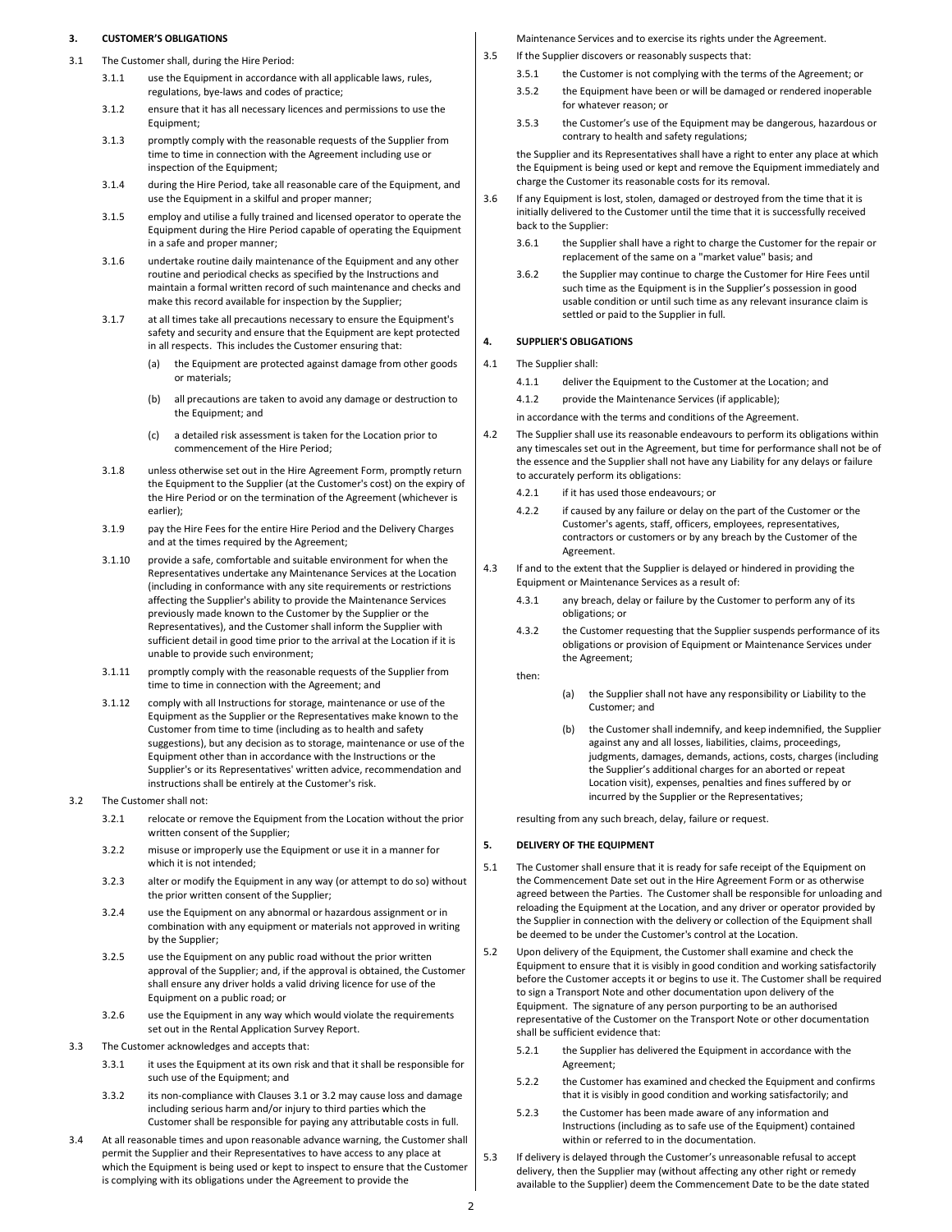#### 3. CUSTOMER'S OBLIGATIONS

- 3.1 The Customer shall, during the Hire Period:
	- 3.1.1 use the Equipment in accordance with all applicable laws, rules, regulations, bye-laws and codes of practice;
	- 3.1.2 ensure that it has all necessary licences and permissions to use the Equipment;
	- 3.1.3 promptly comply with the reasonable requests of the Supplier from time to time in connection with the Agreement including use or inspection of the Equipment:
	- 3.1.4 during the Hire Period, take all reasonable care of the Equipment, and use the Equipment in a skilful and proper manner;
	- 3.1.5 employ and utilise a fully trained and licensed operator to operate the Equipment during the Hire Period capable of operating the Equipment in a safe and proper manner;
	- 3.1.6 undertake routine daily maintenance of the Equipment and any other routine and periodical checks as specified by the Instructions and maintain a formal written record of such maintenance and checks and make this record available for inspection by the Supplier;
	- 3.1.7 at all times take all precautions necessary to ensure the Equipment's safety and security and ensure that the Equipment are kept protected in all respects. This includes the Customer ensuring that:
		- (a) the Equipment are protected against damage from other goods or materials;
		- (b) all precautions are taken to avoid any damage or destruction to the Equipment; and
		- (c) a detailed risk assessment is taken for the Location prior to commencement of the Hire Period;
	- 3.1.8 unless otherwise set out in the Hire Agreement Form, promptly return the Equipment to the Supplier (at the Customer's cost) on the expiry of the Hire Period or on the termination of the Agreement (whichever is earlier);
	- 3.1.9 pay the Hire Fees for the entire Hire Period and the Delivery Charges and at the times required by the Agreement;
	- 3.1.10 provide a safe, comfortable and suitable environment for when the Representatives undertake any Maintenance Services at the Location (including in conformance with any site requirements or restrictions affecting the Supplier's ability to provide the Maintenance Services previously made known to the Customer by the Supplier or the Representatives), and the Customer shall inform the Supplier with sufficient detail in good time prior to the arrival at the Location if it is unable to provide such environment;
	- 3.1.11 promptly comply with the reasonable requests of the Supplier from time to time in connection with the Agreement; and
	- 3.1.12 comply with all Instructions for storage, maintenance or use of the Equipment as the Supplier or the Representatives make known to the Customer from time to time (including as to health and safety suggestions), but any decision as to storage, maintenance or use of the Equipment other than in accordance with the Instructions or the Supplier's or its Representatives' written advice, recommendation and instructions shall be entirely at the Customer's risk.
- 3.2 The Customer shall not:
	- 3.2.1 relocate or remove the Equipment from the Location without the prior written consent of the Supplier;
	- 3.2.2 misuse or improperly use the Equipment or use it in a manner for which it is not intended;
	- 3.2.3 alter or modify the Equipment in any way (or attempt to do so) without the prior written consent of the Supplier;
	- 3.2.4 use the Equipment on any abnormal or hazardous assignment or in combination with any equipment or materials not approved in writing by the Supplier;
	- 3.2.5 use the Equipment on any public road without the prior written approval of the Supplier; and, if the approval is obtained, the Customer shall ensure any driver holds a valid driving licence for use of the Equipment on a public road; or
	- 3.2.6 use the Equipment in any way which would violate the requirements set out in the Rental Application Survey Report.
- 3.3 The Customer acknowledges and accepts that:
	- 3.3.1 it uses the Equipment at its own risk and that it shall be responsible for such use of the Equipment; and
	- 3.3.2 its non-compliance with Clauses 3.1 or 3.2 may cause loss and damage including serious harm and/or injury to third parties which the Customer shall be responsible for paying any attributable costs in full.
- 3.4 At all reasonable times and upon reasonable advance warning, the Customer shall permit the Supplier and their Representatives to have access to any place at which the Equipment is being used or kept to inspect to ensure that the Customer is complying with its obligations under the Agreement to provide the

Maintenance Services and to exercise its rights under the Agreement.

- 3.5 If the Supplier discovers or reasonably suspects that:
	- 3.5.1 the Customer is not complying with the terms of the Agreement; or
	- 3.5.2 the Equipment have been or will be damaged or rendered inoperable for whatever reason; or
	- 3.5.3 the Customer's use of the Equipment may be dangerous, hazardous or contrary to health and safety regulations;

the Supplier and its Representatives shall have a right to enter any place at which the Equipment is being used or kept and remove the Equipment immediately and charge the Customer its reasonable costs for its removal.

- 3.6 If any Equipment is lost, stolen, damaged or destroyed from the time that it is initially delivered to the Customer until the time that it is successfully received back to the Supplier:
	- 3.6.1 the Supplier shall have a right to charge the Customer for the repair or replacement of the same on a "market value" basis; and
	- 3.6.2 the Supplier may continue to charge the Customer for Hire Fees until such time as the Equipment is in the Supplier's possession in good usable condition or until such time as any relevant insurance claim is settled or paid to the Supplier in full.

### 4. SUPPLIER'S OBLIGATIONS

- 4.1 The Supplier shall:
	- 4.1.1 deliver the Equipment to the Customer at the Location; and
	- 4.1.2 provide the Maintenance Services (if applicable);
	- in accordance with the terms and conditions of the Agreement.
- 4.2 The Supplier shall use its reasonable endeavours to perform its obligations within any timescales set out in the Agreement, but time for performance shall not be of the essence and the Supplier shall not have any Liability for any delays or failure to accurately perform its obligations:
	- 4.2.1 if it has used those endeavours; or
	- 4.2.2 if caused by any failure or delay on the part of the Customer or the Customer's agents, staff, officers, employees, representatives, contractors or customers or by any breach by the Customer of the Agreement.
- 4.3 If and to the extent that the Supplier is delayed or hindered in providing the Equipment or Maintenance Services as a result of:
	- 4.3.1 any breach, delay or failure by the Customer to perform any of its obligations; or
	- 4.3.2 the Customer requesting that the Supplier suspends performance of its obligations or provision of Equipment or Maintenance Services under the Agreement;

then:

- (a) the Supplier shall not have any responsibility or Liability to the Customer; and
- (b) the Customer shall indemnify, and keep indemnified, the Supplier against any and all losses, liabilities, claims, proceedings, judgments, damages, demands, actions, costs, charges (including the Supplier's additional charges for an aborted or repeat Location visit), expenses, penalties and fines suffered by or incurred by the Supplier or the Representatives;

resulting from any such breach, delay, failure or request.

#### 5. DELIVERY OF THE EQUIPMENT

- 5.1 The Customer shall ensure that it is ready for safe receipt of the Equipment on the Commencement Date set out in the Hire Agreement Form or as otherwise agreed between the Parties. The Customer shall be responsible for unloading and reloading the Equipment at the Location, and any driver or operator provided by the Supplier in connection with the delivery or collection of the Equipment shall be deemed to be under the Customer's control at the Location.
- 5.2 Upon delivery of the Equipment, the Customer shall examine and check the Equipment to ensure that it is visibly in good condition and working satisfactorily before the Customer accepts it or begins to use it. The Customer shall be required to sign a Transport Note and other documentation upon delivery of the Equipment. The signature of any person purporting to be an authorised representative of the Customer on the Transport Note or other documentation shall be sufficient evidence that:
	- 5.2.1 the Supplier has delivered the Equipment in accordance with the Agreement;
	- 5.2.2 the Customer has examined and checked the Equipment and confirms that it is visibly in good condition and working satisfactorily; and
	- 5.2.3 the Customer has been made aware of any information and Instructions (including as to safe use of the Equipment) contained within or referred to in the documentation.
- 5.3 If delivery is delayed through the Customer's unreasonable refusal to accept delivery, then the Supplier may (without affecting any other right or remedy available to the Supplier) deem the Commencement Date to be the date stated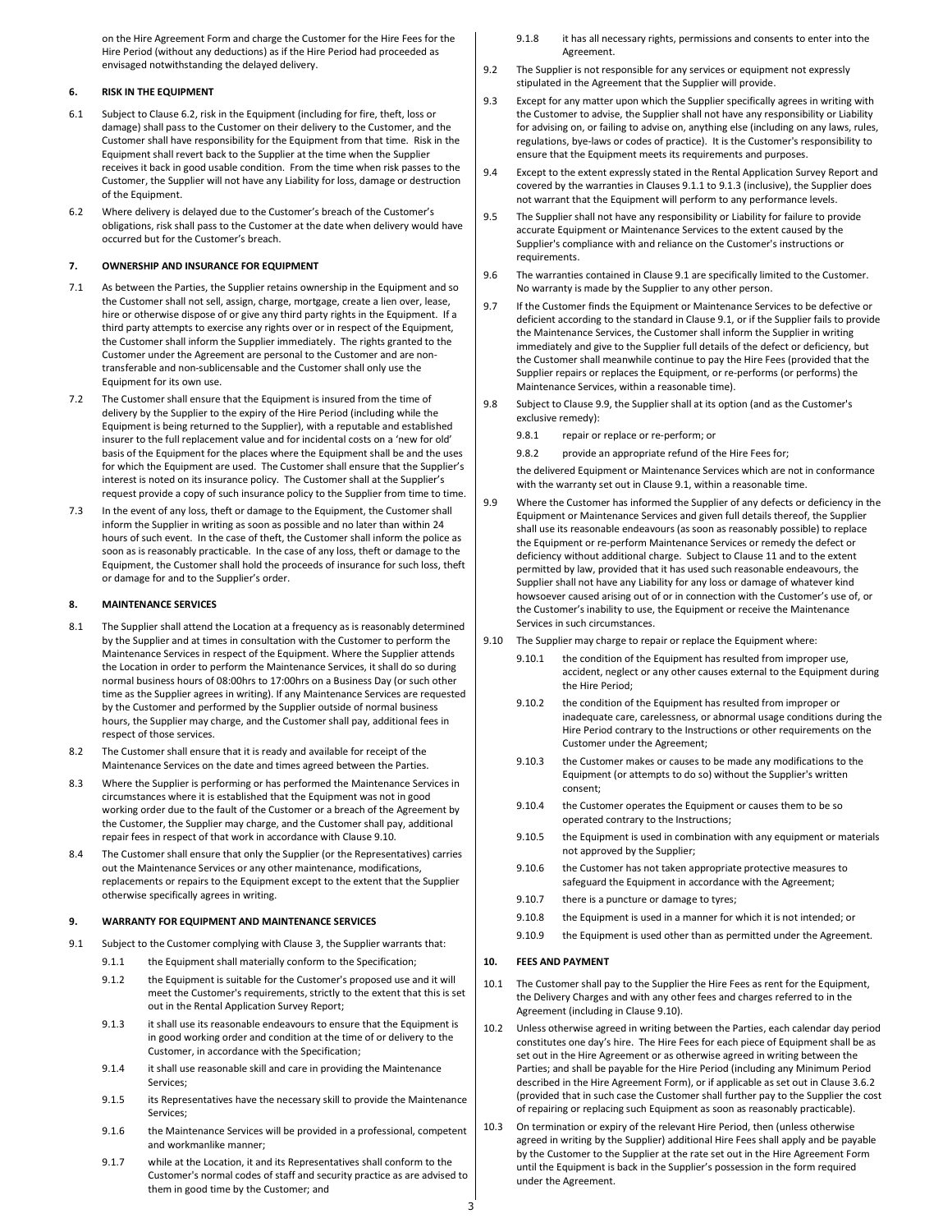on the Hire Agreement Form and charge the Customer for the Hire Fees for the Hire Period (without any deductions) as if the Hire Period had proceeded as envisaged notwithstanding the delayed delivery.

### 6. RISK IN THE EQUIPMENT

- 6.1 Subject to Clause 6.2, risk in the Equipment (including for fire, theft, loss or damage) shall pass to the Customer on their delivery to the Customer, and the Customer shall have responsibility for the Equipment from that time. Risk in the Equipment shall revert back to the Supplier at the time when the Supplier receives it back in good usable condition. From the time when risk passes to the Customer, the Supplier will not have any Liability for loss, damage or destruction of the Equipment.
- 6.2 Where delivery is delayed due to the Customer's breach of the Customer's obligations, risk shall pass to the Customer at the date when delivery would have occurred but for the Customer's breach.

#### 7. OWNERSHIP AND INSURANCE FOR EQUIPMENT

- 7.1 As between the Parties, the Supplier retains ownership in the Equipment and so the Customer shall not sell, assign, charge, mortgage, create a lien over, lease, hire or otherwise dispose of or give any third party rights in the Equipment. If a third party attempts to exercise any rights over or in respect of the Equipment, the Customer shall inform the Supplier immediately. The rights granted to the Customer under the Agreement are personal to the Customer and are nontransferable and non-sublicensable and the Customer shall only use the Equipment for its own use.
- 7.2 The Customer shall ensure that the Equipment is insured from the time of delivery by the Supplier to the expiry of the Hire Period (including while the Equipment is being returned to the Supplier), with a reputable and established insurer to the full replacement value and for incidental costs on a 'new for old' basis of the Equipment for the places where the Equipment shall be and the uses for which the Equipment are used. The Customer shall ensure that the Supplier's interest is noted on its insurance policy. The Customer shall at the Supplier's request provide a copy of such insurance policy to the Supplier from time to time.
- 7.3 In the event of any loss, theft or damage to the Equipment, the Customer shall inform the Supplier in writing as soon as possible and no later than within 24 hours of such event. In the case of theft, the Customer shall inform the police as soon as is reasonably practicable. In the case of any loss, theft or damage to the Equipment, the Customer shall hold the proceeds of insurance for such loss, theft or damage for and to the Supplier's order.

### 8. MAINTENANCE SERVICES

- 8.1 The Supplier shall attend the Location at a frequency as is reasonably determined by the Supplier and at times in consultation with the Customer to perform the Maintenance Services in respect of the Equipment. Where the Supplier attends the Location in order to perform the Maintenance Services, it shall do so during normal business hours of 08:00hrs to 17:00hrs on a Business Day (or such other time as the Supplier agrees in writing). If any Maintenance Services are requested by the Customer and performed by the Supplier outside of normal business hours, the Supplier may charge, and the Customer shall pay, additional fees in respect of those services.
- 8.2 The Customer shall ensure that it is ready and available for receipt of the Maintenance Services on the date and times agreed between the Parties.
- 8.3 Where the Supplier is performing or has performed the Maintenance Services in circumstances where it is established that the Equipment was not in good working order due to the fault of the Customer or a breach of the Agreement by the Customer, the Supplier may charge, and the Customer shall pay, additional repair fees in respect of that work in accordance with Clause 9.10.
- 8.4 The Customer shall ensure that only the Supplier (or the Representatives) carries out the Maintenance Services or any other maintenance, modifications, replacements or repairs to the Equipment except to the extent that the Supplier otherwise specifically agrees in writing.

### 9. WARRANTY FOR FOLLIPMENT AND MAINTENANCE SERVICES

- 9.1 Subject to the Customer complying with Clause 3, the Supplier warrants that:
	- 9.1.1 the Equipment shall materially conform to the Specification;
		- 9.1.2 the Equipment is suitable for the Customer's proposed use and it will meet the Customer's requirements, strictly to the extent that this is set out in the Rental Application Survey Report;
		- 9.1.3 it shall use its reasonable endeavours to ensure that the Equipment is in good working order and condition at the time of or delivery to the Customer, in accordance with the Specification;
		- 9.1.4 it shall use reasonable skill and care in providing the Maintenance Services;
		- 9.1.5 its Representatives have the necessary skill to provide the Maintenance Services;
		- 9.1.6 the Maintenance Services will be provided in a professional, competent and workmanlike manner;
		- 9.1.7 while at the Location, it and its Representatives shall conform to the Customer's normal codes of staff and security practice as are advised to them in good time by the Customer; and
- 9.1.8 it has all necessary rights, permissions and consents to enter into the Agreement.
- 9.2 The Supplier is not responsible for any services or equipment not expressly stipulated in the Agreement that the Supplier will provide.
- 9.3 Except for any matter upon which the Supplier specifically agrees in writing with the Customer to advise, the Supplier shall not have any responsibility or Liability for advising on, or failing to advise on, anything else (including on any laws, rules, regulations, bye-laws or codes of practice). It is the Customer's responsibility to ensure that the Equipment meets its requirements and purposes.
- 9.4 Except to the extent expressly stated in the Rental Application Survey Report and covered by the warranties in Clauses 9.1.1 to 9.1.3 (inclusive), the Supplier does not warrant that the Equipment will perform to any performance levels.
- 9.5 The Supplier shall not have any responsibility or Liability for failure to provide accurate Equipment or Maintenance Services to the extent caused by the Supplier's compliance with and reliance on the Customer's instructions or requirements.
- 9.6 The warranties contained in Clause 9.1 are specifically limited to the Customer. No warranty is made by the Supplier to any other person.
- 9.7 If the Customer finds the Equipment or Maintenance Services to be defective or deficient according to the standard in Clause 9.1, or if the Supplier fails to provide the Maintenance Services, the Customer shall inform the Supplier in writing immediately and give to the Supplier full details of the defect or deficiency, but the Customer shall meanwhile continue to pay the Hire Fees (provided that the Supplier repairs or replaces the Equipment, or re-performs (or performs) the Maintenance Services, within a reasonable time).
- 9.8 Subject to Clause 9.9, the Supplier shall at its option (and as the Customer's exclusive remedy):
	- 9.8.1 repair or replace or re-perform; or
	- 9.8.2 provide an appropriate refund of the Hire Fees for;

the delivered Equipment or Maintenance Services which are not in conformance with the warranty set out in Clause 9.1, within a reasonable time.

- 9.9 Where the Customer has informed the Supplier of any defects or deficiency in the Equipment or Maintenance Services and given full details thereof, the Supplier shall use its reasonable endeavours (as soon as reasonably possible) to replace the Equipment or re-perform Maintenance Services or remedy the defect or deficiency without additional charge. Subject to Clause 11 and to the extent permitted by law, provided that it has used such reasonable endeavours, the Supplier shall not have any Liability for any loss or damage of whatever kind howsoever caused arising out of or in connection with the Customer's use of, or the Customer's inability to use, the Equipment or receive the Maintenance Services in such circumstances.
- 9.10 The Supplier may charge to repair or replace the Equipment where:
	- 9.10.1 the condition of the Equipment has resulted from improper use, accident, neglect or any other causes external to the Equipment during the Hire Period;
	- 9.10.2 the condition of the Equipment has resulted from improper or inadequate care, carelessness, or abnormal usage conditions during the Hire Period contrary to the Instructions or other requirements on the Customer under the Agreement;
	- 9.10.3 the Customer makes or causes to be made any modifications to the Equipment (or attempts to do so) without the Supplier's written consent;
	- 9.10.4 the Customer operates the Equipment or causes them to be so operated contrary to the Instructions;
	- 9.10.5 the Equipment is used in combination with any equipment or materials not approved by the Supplier;
	- 9.10.6 the Customer has not taken appropriate protective measures to safeguard the Equipment in accordance with the Agreement;
	- 9.10.7 there is a puncture or damage to tyres;
	- 9.10.8 the Equipment is used in a manner for which it is not intended; or
	- 9.10.9 the Equipment is used other than as permitted under the Agreement.

#### 10. FEES AND PAYMENT

- 10.1 The Customer shall pay to the Supplier the Hire Fees as rent for the Equipment, the Delivery Charges and with any other fees and charges referred to in the Agreement (including in Clause 9.10).
- 10.2 Unless otherwise agreed in writing between the Parties, each calendar day period constitutes one day's hire. The Hire Fees for each piece of Equipment shall be as set out in the Hire Agreement or as otherwise agreed in writing between the Parties; and shall be payable for the Hire Period (including any Minimum Period described in the Hire Agreement Form), or if applicable as set out in Clause 3.6.2 (provided that in such case the Customer shall further pay to the Supplier the cost of repairing or replacing such Equipment as soon as reasonably practicable).
- 10.3 On termination or expiry of the relevant Hire Period, then (unless otherwise agreed in writing by the Supplier) additional Hire Fees shall apply and be payable by the Customer to the Supplier at the rate set out in the Hire Agreement Form until the Equipment is back in the Supplier's possession in the form required under the Agreement.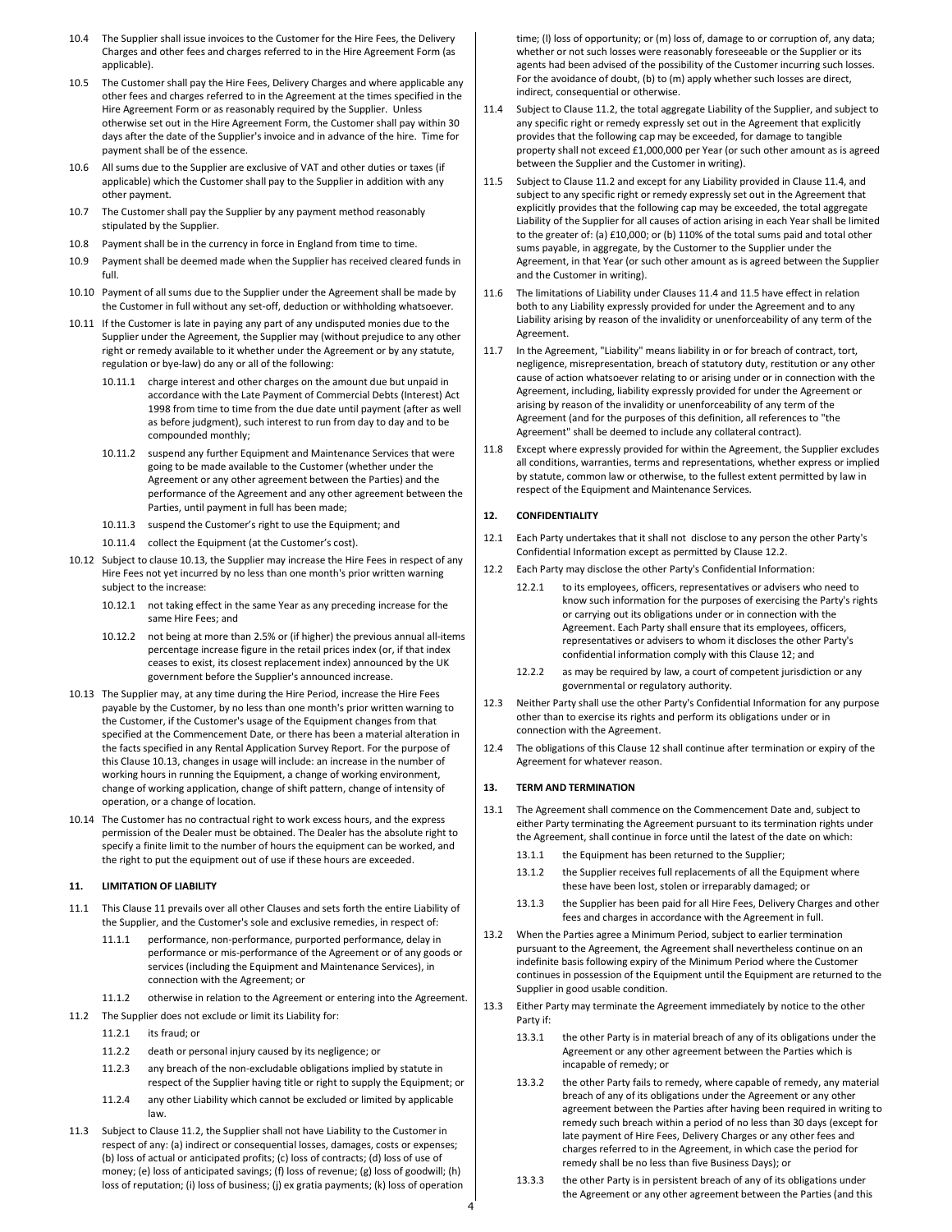- 10.4 The Supplier shall issue invoices to the Customer for the Hire Fees, the Delivery Charges and other fees and charges referred to in the Hire Agreement Form (as applicable).
- 10.5 The Customer shall pay the Hire Fees, Delivery Charges and where applicable any other fees and charges referred to in the Agreement at the times specified in the Hire Agreement Form or as reasonably required by the Supplier. Unless otherwise set out in the Hire Agreement Form, the Customer shall pay within 30 days after the date of the Supplier's invoice and in advance of the hire. Time for payment shall be of the essence.
- 10.6 All sums due to the Supplier are exclusive of VAT and other duties or taxes (if applicable) which the Customer shall pay to the Supplier in addition with any other payment.
- 10.7 The Customer shall pay the Supplier by any payment method reasonably stipulated by the Supplier.
- 10.8 Payment shall be in the currency in force in England from time to time.
- 10.9 Payment shall be deemed made when the Supplier has received cleared funds in full.
- 10.10 Payment of all sums due to the Supplier under the Agreement shall be made by the Customer in full without any set-off, deduction or withholding whatsoever.
- 10.11 If the Customer is late in paying any part of any undisputed monies due to the Supplier under the Agreement, the Supplier may (without prejudice to any other right or remedy available to it whether under the Agreement or by any statute, regulation or bye-law) do any or all of the following:
	- 10.11.1 charge interest and other charges on the amount due but unpaid in accordance with the Late Payment of Commercial Debts (Interest) Act 1998 from time to time from the due date until payment (after as well as before judgment), such interest to run from day to day and to be compounded monthly;
	- 10.11.2 suspend any further Equipment and Maintenance Services that were going to be made available to the Customer (whether under the Agreement or any other agreement between the Parties) and the performance of the Agreement and any other agreement between the Parties, until payment in full has been made;
	- 10.11.3 suspend the Customer's right to use the Equipment; and
	- 10.11.4 collect the Equipment (at the Customer's cost).
- 10.12 Subject to clause 10.13, the Supplier may increase the Hire Fees in respect of any Hire Fees not yet incurred by no less than one month's prior written warning subject to the increase:
	- 10.12.1 not taking effect in the same Year as any preceding increase for the same Hire Fees; and
	- 10.12.2 not being at more than 2.5% or (if higher) the previous annual all-items percentage increase figure in the retail prices index (or, if that index ceases to exist, its closest replacement index) announced by the UK government before the Supplier's announced increase.
- 10.13 The Supplier may, at any time during the Hire Period, increase the Hire Fees payable by the Customer, by no less than one month's prior written warning to the Customer, if the Customer's usage of the Equipment changes from that specified at the Commencement Date, or there has been a material alteration in the facts specified in any Rental Application Survey Report. For the purpose of this Clause 10.13, changes in usage will include: an increase in the number of working hours in running the Equipment, a change of working environment, change of working application, change of shift pattern, change of intensity of operation, or a change of location.
- 10.14 The Customer has no contractual right to work excess hours, and the express permission of the Dealer must be obtained. The Dealer has the absolute right to specify a finite limit to the number of hours the equipment can be worked, and the right to put the equipment out of use if these hours are exceeded.

## 11. LIMITATION OF LIABILITY

- 11.1 This Clause 11 prevails over all other Clauses and sets forth the entire Liability of the Supplier, and the Customer's sole and exclusive remedies, in respect of:
	- 11.1.1 performance, non-performance, purported performance, delay in performance or mis-performance of the Agreement or of any goods or services (including the Equipment and Maintenance Services), in connection with the Agreement; or
- 11.1.2 otherwise in relation to the Agreement or entering into the Agreement.
- 11.2 The Supplier does not exclude or limit its Liability for:
	- 11.2.1 its fraud; or
	- 11.2.2 death or personal injury caused by its negligence; or
	- 11.2.3 any breach of the non-excludable obligations implied by statute in respect of the Supplier having title or right to supply the Equipment; or
	- 11.2.4 any other Liability which cannot be excluded or limited by applicable law.
- 11.3 Subject to Clause 11.2, the Supplier shall not have Liability to the Customer in respect of any: (a) indirect or consequential losses, damages, costs or expenses; (b) loss of actual or anticipated profits; (c) loss of contracts; (d) loss of use of money; (e) loss of anticipated savings; (f) loss of revenue; (g) loss of goodwill; (h) loss of reputation; (i) loss of business; (j) ex gratia payments; (k) loss of operation

time; (l) loss of opportunity; or (m) loss of, damage to or corruption of, any data; whether or not such losses were reasonably foreseeable or the Supplier or its agents had been advised of the possibility of the Customer incurring such losses. For the avoidance of doubt, (b) to (m) apply whether such losses are direct, indirect, consequential or otherwise.

- 11.4 Subject to Clause 11.2, the total aggregate Liability of the Supplier, and subject to any specific right or remedy expressly set out in the Agreement that explicitly provides that the following cap may be exceeded, for damage to tangible property shall not exceed £1,000,000 per Year (or such other amount as is agreed between the Supplier and the Customer in writing).
- 11.5 Subject to Clause 11.2 and except for any Liability provided in Clause 11.4, and subject to any specific right or remedy expressly set out in the Agreement that explicitly provides that the following cap may be exceeded, the total aggregate Liability of the Supplier for all causes of action arising in each Year shall be limited to the greater of: (a) £10,000; or (b) 110% of the total sums paid and total other sums payable, in aggregate, by the Customer to the Supplier under the Agreement, in that Year (or such other amount as is agreed between the Supplier and the Customer in writing).
- 11.6 The limitations of Liability under Clauses 11.4 and 11.5 have effect in relation both to any Liability expressly provided for under the Agreement and to any Liability arising by reason of the invalidity or unenforceability of any term of the Agreement.
- 11.7 In the Agreement, "Liability" means liability in or for breach of contract, tort, negligence, misrepresentation, breach of statutory duty, restitution or any other cause of action whatsoever relating to or arising under or in connection with the Agreement, including, liability expressly provided for under the Agreement or arising by reason of the invalidity or unenforceability of any term of the Agreement (and for the purposes of this definition, all references to "the Agreement" shall be deemed to include any collateral contract).
- 11.8 Except where expressly provided for within the Agreement, the Supplier excludes all conditions, warranties, terms and representations, whether express or implied by statute, common law or otherwise, to the fullest extent permitted by law in respect of the Equipment and Maintenance Services.

#### 12. CONFIDENTIALITY

- 12.1 Each Party undertakes that it shall not disclose to any person the other Party's Confidential Information except as permitted by Clause 12.2.
- 12.2 Each Party may disclose the other Party's Confidential Information:
	- 12.2.1 to its employees, officers, representatives or advisers who need to know such information for the purposes of exercising the Party's rights or carrying out its obligations under or in connection with the Agreement. Each Party shall ensure that its employees, officers, representatives or advisers to whom it discloses the other Party's confidential information comply with this Clause 12; and
	- 12.2.2 as may be required by law, a court of competent jurisdiction or any governmental or regulatory authority.
- 12.3 Neither Party shall use the other Party's Confidential Information for any purpose other than to exercise its rights and perform its obligations under or in connection with the Agreement.
- 12.4 The obligations of this Clause 12 shall continue after termination or expiry of the Agreement for whatever reason.

#### 13. TERM AND TERMINATION

- 13.1 The Agreement shall commence on the Commencement Date and, subject to either Party terminating the Agreement pursuant to its termination rights under the Agreement, shall continue in force until the latest of the date on which:
	- 13.1.1 the Equipment has been returned to the Supplier;
	- 13.1.2 the Supplier receives full replacements of all the Equipment where these have been lost, stolen or irreparably damaged; or
	- 13.1.3 the Supplier has been paid for all Hire Fees, Delivery Charges and other fees and charges in accordance with the Agreement in full.
- 13.2 When the Parties agree a Minimum Period, subject to earlier termination pursuant to the Agreement, the Agreement shall nevertheless continue on an indefinite basis following expiry of the Minimum Period where the Customer continues in possession of the Equipment until the Equipment are returned to the Supplier in good usable condition.
- 13.3 Either Party may terminate the Agreement immediately by notice to the other Party if:
	- 13.3.1 the other Party is in material breach of any of its obligations under the Agreement or any other agreement between the Parties which is incapable of remedy; or
	- 13.3.2 the other Party fails to remedy, where capable of remedy, any material breach of any of its obligations under the Agreement or any other agreement between the Parties after having been required in writing to remedy such breach within a period of no less than 30 days (except for late payment of Hire Fees, Delivery Charges or any other fees and charges referred to in the Agreement, in which case the period for remedy shall be no less than five Business Days); or
	- 13.3.3 the other Party is in persistent breach of any of its obligations under the Agreement or any other agreement between the Parties (and this